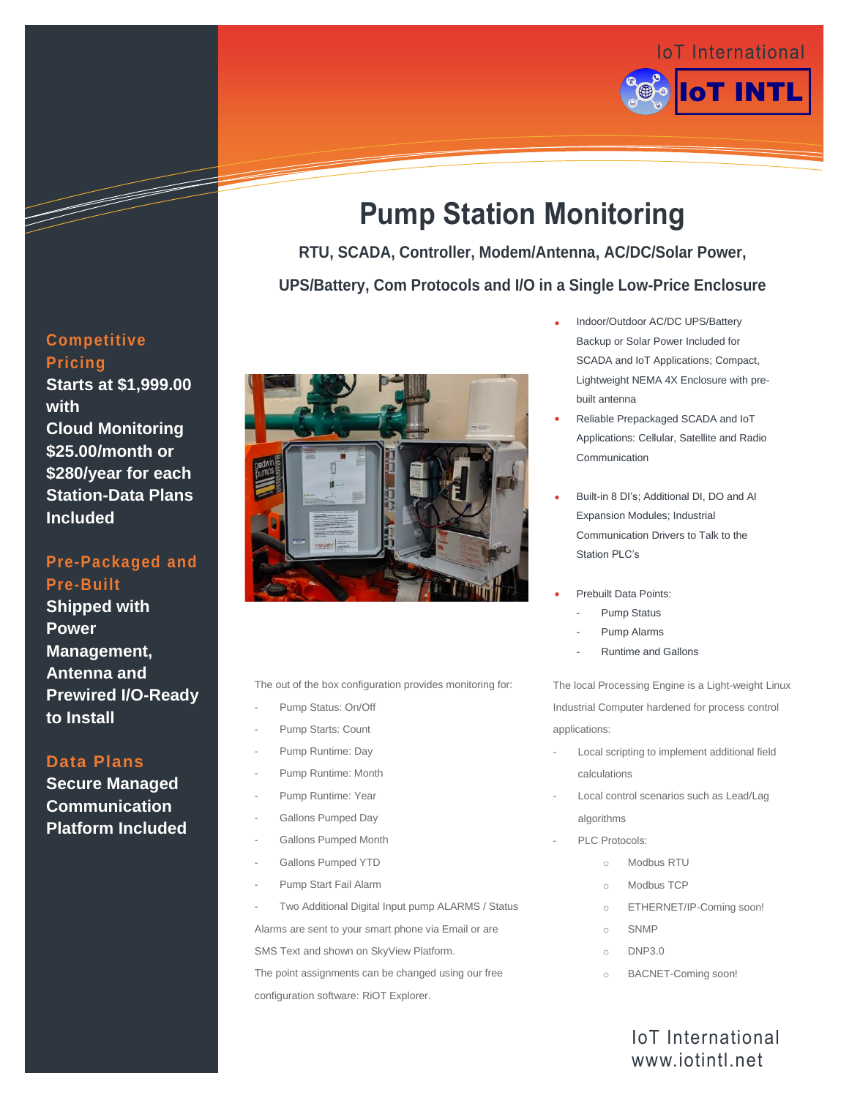

# **Pump Station Monitoring**

**RTU, SCADA, Controller, Modem/Antenna, AC/DC/Solar Power,** 

**UPS/Battery, Com Protocols and I/O in a Single Low-Price Enclosure**



The out of the box configuration provides monitoring for:

- Pump Status: On/Off
- Pump Starts: Count
- Pump Runtime: Day
- Pump Runtime: Month
- Pump Runtime: Year
- Gallons Pumped Day
- Gallons Pumped Month
- Gallons Pumped YTD
- Pump Start Fail Alarm
- Two Additional Digital Input pump ALARMS / Status

Alarms are sent to your smart phone via Email or are

SMS Text and shown on SkyView Platform.

The point assignments can be changed using our free configuration software: RiOT Explorer.

- Indoor/Outdoor AC/DC UPS/Battery Backup or Solar Power Included for SCADA and IoT Applications; Compact, Lightweight NEMA 4X Enclosure with prebuilt antenna
- Reliable Prepackaged SCADA and IoT Applications: Cellular, Satellite and Radio Communication
- Built-in 8 DI's; Additional DI, DO and AI Expansion Modules; Industrial Communication Drivers to Talk to the Station PLC's
- Prebuilt Data Points:
	- Pump Status
	- Pump Alarms
	- Runtime and Gallons

The local Processing Engine is a Light-weight Linux Industrial Computer hardened for process control applications:

- Local scripting to implement additional field calculations
- Local control scenarios such as Lead/Lag algorithms
	- PLC Protocols:
		- o Modbus RTU
		- o Modbus TCP
		- o ETHERNET/IP-Coming soon!
		- o SNMP
		- o DNP3.0
		- o BACNET-Coming soon!

# IoT International www.iotintl.net

### **Competitive Pricing**

**Starts at \$1,999.00 with Cloud Monitoring \$25.00/month or \$280/year for each Station-Data Plans Included**

## **Pre-Packaged and Pre-Built**

**Shipped with Power Management, Antenna and Prewired I/O-Ready to Install**

### **Data Plans**

**Secure Managed Communication Platform Included**